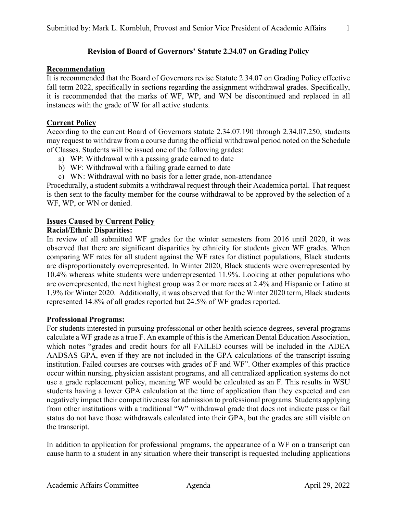## **Recommendation**

It is recommended that the Board of Governors revise Statute 2.34.07 on Grading Policy effective fall term 2022, specifically in sections regarding the assignment withdrawal grades. Specifically, it is recommended that the marks of WF, WP, and WN be discontinued and replaced in all instances with the grade of W for all active students.

## **Current Policy**

According to the current Board of Governors statute 2.34.07.190 through 2.34.07.250, students may request to withdraw from a course during the official withdrawal period noted on the Schedule of Classes. Students will be issued one of the following grades:

- a) WP: Withdrawal with a passing grade earned to date
- b) WF: Withdrawal with a failing grade earned to date
- c) WN: Withdrawal with no basis for a letter grade, non-attendance

Procedurally, a student submits a withdrawal request through their Academica portal. That request is then sent to the faculty member for the course withdrawal to be approved by the selection of a WF, WP, or WN or denied.

### **Issues Caused by Current Policy**

#### **Racial/Ethnic Disparities:**

In review of all submitted WF grades for the winter semesters from 2016 until 2020, it was observed that there are significant disparities by ethnicity for students given WF grades. When comparing WF rates for all student against the WF rates for distinct populations, Black students are disproportionately overrepresented. In Winter 2020, Black students were overrepresented by 10.4% whereas white students were underrepresented 11.9%. Looking at other populations who are overrepresented, the next highest group was 2 or more races at 2.4% and Hispanic or Latino at 1.9% for Winter 2020. Additionally, it was observed that for the Winter 2020 term, Black students represented 14.8% of all grades reported but 24.5% of WF grades reported.

#### **Professional Programs:**

For students interested in pursuing professional or other health science degrees, several programs calculate a WF grade as a true F. An example of this is the American Dental Education Association, which notes "grades and credit hours for all FAILED courses will be included in the ADEA AADSAS GPA, even if they are not included in the GPA calculations of the transcript-issuing institution. Failed courses are courses with grades of F and WF". Other examples of this practice occur within nursing, physician assistant programs, and all centralized application systems do not use a grade replacement policy, meaning WF would be calculated as an F. This results in WSU students having a lower GPA calculation at the time of application than they expected and can negatively impact their competitiveness for admission to professional programs. Students applying from other institutions with a traditional "W" withdrawal grade that does not indicate pass or fail status do not have those withdrawals calculated into their GPA, but the grades are still visible on the transcript.

In addition to application for professional programs, the appearance of a WF on a transcript can cause harm to a student in any situation where their transcript is requested including applications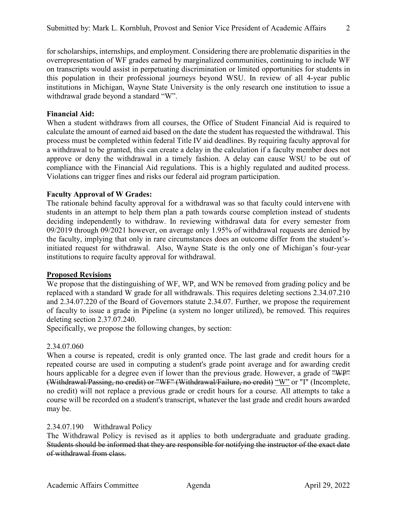for scholarships, internships, and employment. Considering there are problematic disparities in the overrepresentation of WF grades earned by marginalized communities, continuing to include WF on transcripts would assist in perpetuating discrimination or limited opportunities for students in this population in their professional journeys beyond WSU. In review of all 4-year public institutions in Michigan, Wayne State University is the only research one institution to issue a withdrawal grade beyond a standard "W".

## **Financial Aid:**

When a student withdraws from all courses, the Office of Student Financial Aid is required to calculate the amount of earned aid based on the date the student has requested the withdrawal. This process must be completed within federal Title IV aid deadlines. By requiring faculty approval for a withdrawal to be granted, this can create a delay in the calculation if a faculty member does not approve or deny the withdrawal in a timely fashion. A delay can cause WSU to be out of compliance with the Financial Aid regulations. This is a highly regulated and audited process. Violations can trigger fines and risks our federal aid program participation.

### **Faculty Approval of W Grades:**

The rationale behind faculty approval for a withdrawal was so that faculty could intervene with students in an attempt to help them plan a path towards course completion instead of students deciding independently to withdraw. In reviewing withdrawal data for every semester from 09/2019 through 09/2021 however, on average only 1.95% of withdrawal requests are denied by the faculty, implying that only in rare circumstances does an outcome differ from the student'sinitiated request for withdrawal. Also, Wayne State is the only one of Michigan's four-year institutions to require faculty approval for withdrawal.

#### **Proposed Revisions**

We propose that the distinguishing of WF, WP, and WN be removed from grading policy and be replaced with a standard W grade for all withdrawals. This requires deleting sections 2.34.07.210 and 2.34.07.220 of the Board of Governors statute 2.34.07. Further, we propose the requirement of faculty to issue a grade in Pipeline (a system no longer utilized), be removed. This requires deleting section 2.37.07.240.

Specifically, we propose the following changes, by section:

#### 2.34.07.060

When a course is repeated, credit is only granted once. The last grade and credit hours for a repeated course are used in computing a student's grade point average and for awarding credit hours applicable for a degree even if lower than the previous grade. However, a grade of "WP" (Withdrawal/Passing, no credit) or "WF" (Withdrawal/Failure, no credit) "W" or "I" (Incomplete, no credit) will not replace a previous grade or credit hours for a course. All attempts to take a course will be recorded on a student's transcript, whatever the last grade and credit hours awarded may be.

#### 2.34.07.190 Withdrawal Policy

The Withdrawal Policy is revised as it applies to both undergraduate and graduate grading. Students should be informed that they are responsible for notifying the instructor of the exact date of withdrawal from class.